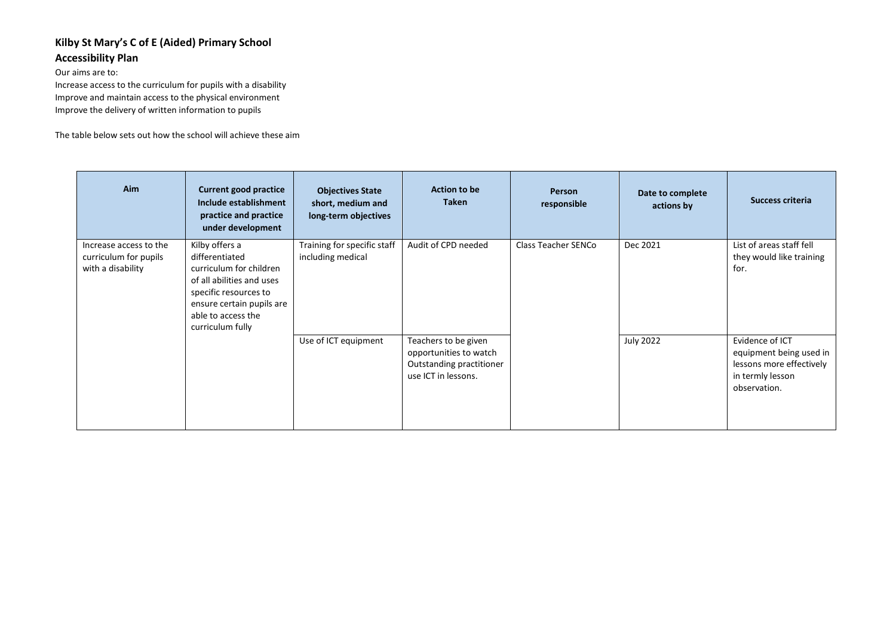## **Kilby St Mary's C of E (Aided) Primary School Accessibility Plan**

Our aims are to:

Increase access to the curriculum for pupils with a disability Improve and maintain access to the physical environment Improve the delivery of written information to pupils

The table below sets out how the school will achieve these aim

| <b>Aim</b>                                                           | <b>Current good practice</b><br>Include establishment<br>practice and practice<br>under development                                                                                      | <b>Objectives State</b><br>short, medium and<br>long-term objectives | <b>Action to be</b><br>Taken                                                                      | <b>Person</b><br>responsible | Date to complete<br>actions by | <b>Success criteria</b>                                                                                    |
|----------------------------------------------------------------------|------------------------------------------------------------------------------------------------------------------------------------------------------------------------------------------|----------------------------------------------------------------------|---------------------------------------------------------------------------------------------------|------------------------------|--------------------------------|------------------------------------------------------------------------------------------------------------|
| Increase access to the<br>curriculum for pupils<br>with a disability | Kilby offers a<br>differentiated<br>curriculum for children<br>of all abilities and uses<br>specific resources to<br>ensure certain pupils are<br>able to access the<br>curriculum fully | Training for specific staff<br>including medical                     | Audit of CPD needed                                                                               | Class Teacher SENCo          | Dec 2021                       | List of areas staff fell<br>they would like training<br>for.                                               |
|                                                                      |                                                                                                                                                                                          | Use of ICT equipment                                                 | Teachers to be given<br>opportunities to watch<br>Outstanding practitioner<br>use ICT in lessons. |                              | <b>July 2022</b>               | Evidence of ICT<br>equipment being used in<br>lessons more effectively<br>in termly lesson<br>observation. |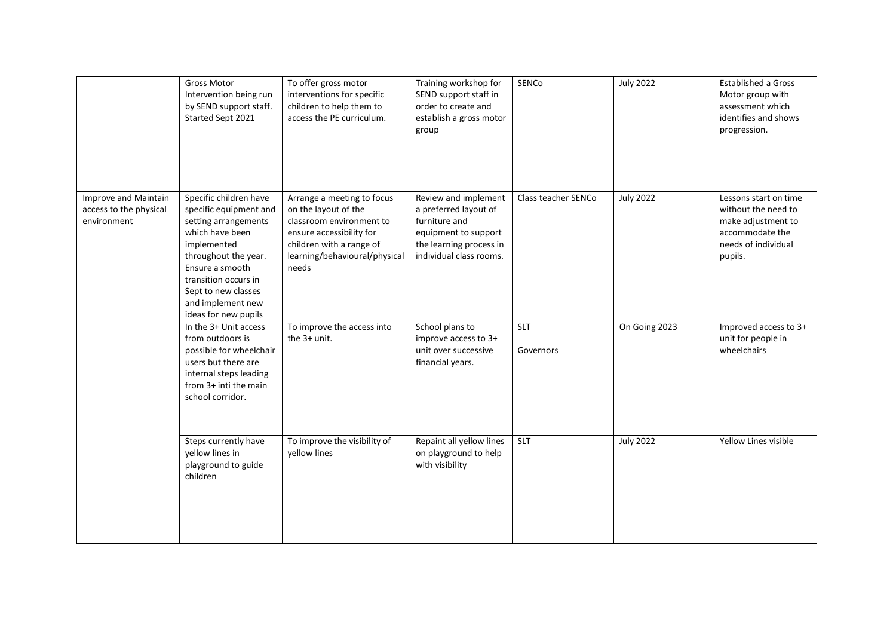|                                                               | <b>Gross Motor</b><br>Intervention being run<br>by SEND support staff.<br>Started Sept 2021                                                                                                                                                       | To offer gross motor<br>interventions for specific<br>children to help them to<br>access the PE curriculum.                                                                      | Training workshop for<br>SEND support staff in<br>order to create and<br>establish a gross motor<br>group                                    | SENCo                   | <b>July 2022</b> | Established a Gross<br>Motor group with<br>assessment which<br>identifies and shows<br>progression.                     |
|---------------------------------------------------------------|---------------------------------------------------------------------------------------------------------------------------------------------------------------------------------------------------------------------------------------------------|----------------------------------------------------------------------------------------------------------------------------------------------------------------------------------|----------------------------------------------------------------------------------------------------------------------------------------------|-------------------------|------------------|-------------------------------------------------------------------------------------------------------------------------|
| Improve and Maintain<br>access to the physical<br>environment | Specific children have<br>specific equipment and<br>setting arrangements<br>which have been<br>implemented<br>throughout the year.<br>Ensure a smooth<br>transition occurs in<br>Sept to new classes<br>and implement new<br>ideas for new pupils | Arrange a meeting to focus<br>on the layout of the<br>classroom environment to<br>ensure accessibility for<br>children with a range of<br>learning/behavioural/physical<br>needs | Review and implement<br>a preferred layout of<br>furniture and<br>equipment to support<br>the learning process in<br>individual class rooms. | Class teacher SENCo     | <b>July 2022</b> | Lessons start on time<br>without the need to<br>make adjustment to<br>accommodate the<br>needs of individual<br>pupils. |
|                                                               | In the 3+ Unit access<br>from outdoors is<br>possible for wheelchair<br>users but there are<br>internal steps leading<br>from 3+ inti the main<br>school corridor.                                                                                | To improve the access into<br>the 3+ unit.                                                                                                                                       | School plans to<br>improve access to 3+<br>unit over successive<br>financial years.                                                          | <b>SLT</b><br>Governors | On Going 2023    | Improved access to 3+<br>unit for people in<br>wheelchairs                                                              |
|                                                               | Steps currently have<br>yellow lines in<br>playground to guide<br>children                                                                                                                                                                        | To improve the visibility of<br>yellow lines                                                                                                                                     | Repaint all yellow lines<br>on playground to help<br>with visibility                                                                         | <b>SLT</b>              | <b>July 2022</b> | Yellow Lines visible                                                                                                    |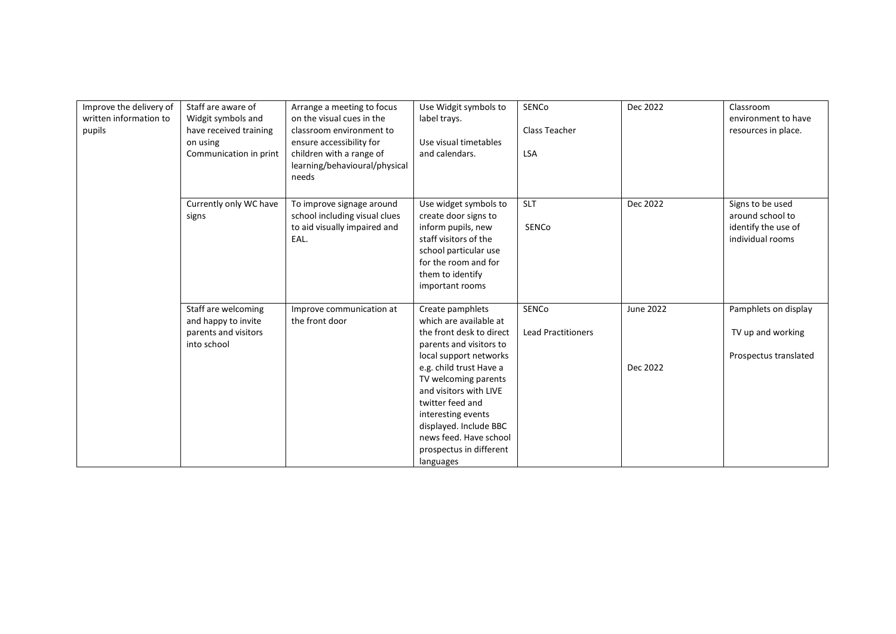| Improve the delivery of<br>written information to<br>pupils | Staff are aware of<br>Widgit symbols and<br>have received training<br>on using<br>Communication in print | Arrange a meeting to focus<br>on the visual cues in the<br>classroom environment to<br>ensure accessibility for<br>children with a range of<br>learning/behavioural/physical<br>needs | Use Widgit symbols to<br>label trays.<br>Use visual timetables<br>and calendars.                                                                                                                                                                                                                                                               | <b>SENCo</b><br>Class Teacher<br><b>LSA</b> | Dec 2022              | Classroom<br>environment to have<br>resources in place.                         |
|-------------------------------------------------------------|----------------------------------------------------------------------------------------------------------|---------------------------------------------------------------------------------------------------------------------------------------------------------------------------------------|------------------------------------------------------------------------------------------------------------------------------------------------------------------------------------------------------------------------------------------------------------------------------------------------------------------------------------------------|---------------------------------------------|-----------------------|---------------------------------------------------------------------------------|
|                                                             | Currently only WC have<br>signs                                                                          | To improve signage around<br>school including visual clues<br>to aid visually impaired and<br>EAL.                                                                                    | Use widget symbols to<br>create door signs to<br>inform pupils, new<br>staff visitors of the<br>school particular use<br>for the room and for<br>them to identify<br>important rooms                                                                                                                                                           | <b>SLT</b><br>SENCo                         | Dec 2022              | Signs to be used<br>around school to<br>identify the use of<br>individual rooms |
|                                                             | Staff are welcoming<br>and happy to invite<br>parents and visitors<br>into school                        | Improve communication at<br>the front door                                                                                                                                            | Create pamphlets<br>which are available at<br>the front desk to direct<br>parents and visitors to<br>local support networks<br>e.g. child trust Have a<br>TV welcoming parents<br>and visitors with LIVE<br>twitter feed and<br>interesting events<br>displayed. Include BBC<br>news feed. Have school<br>prospectus in different<br>languages | SENCo<br><b>Lead Practitioners</b>          | June 2022<br>Dec 2022 | Pamphlets on display<br>TV up and working<br>Prospectus translated              |